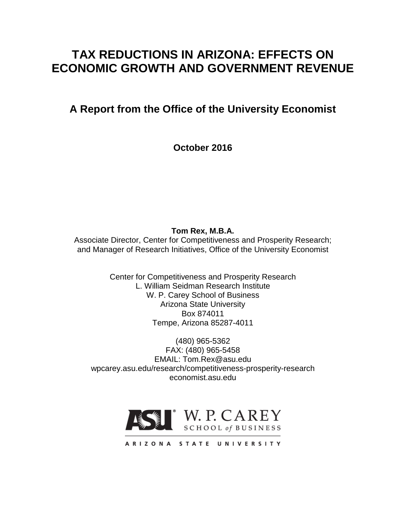# **TAX REDUCTIONS IN ARIZONA: EFFECTS ON ECONOMIC GROWTH AND GOVERNMENT REVENUE**

**A Report from the Office of the University Economist**

**October 2016**

**Tom Rex, M.B.A.**

Associate Director, Center for Competitiveness and Prosperity Research; and Manager of Research Initiatives, Office of the University Economist

> Center for Competitiveness and Prosperity Research L. William Seidman Research Institute W. P. Carey School of Business Arizona State University Box 874011 Tempe, Arizona 85287-4011

(480) 965-5362 FAX: (480) 965-5458 EMAIL: Tom.Rex@asu.edu wpcarey.asu.edu/research/competitiveness-prosperity-research economist.asu.edu



ARIZONA STATE UNIVERSITY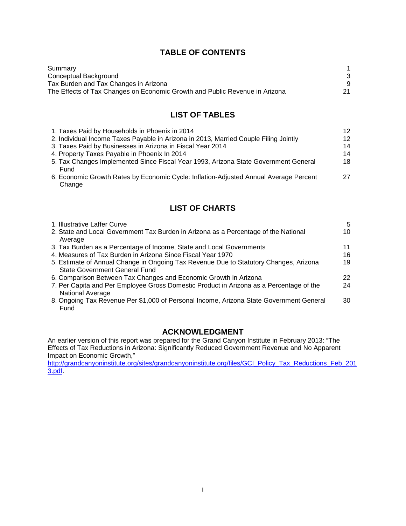# **TABLE OF CONTENTS**

| Summary                                                                     |     |
|-----------------------------------------------------------------------------|-----|
| Conceptual Background                                                       |     |
| Tax Burden and Tax Changes in Arizona                                       |     |
| The Effects of Tax Changes on Economic Growth and Public Revenue in Arizona | -21 |

# **LIST OF TABLES**

| 1. Taxes Paid by Households in Phoenix in 2014                                                  | 12 |
|-------------------------------------------------------------------------------------------------|----|
| 2. Individual Income Taxes Payable in Arizona in 2013, Married Couple Filing Jointly            | 12 |
| 3. Taxes Paid by Businesses in Arizona in Fiscal Year 2014                                      | 14 |
| 4. Property Taxes Payable in Phoenix In 2014                                                    | 14 |
| 5. Tax Changes Implemented Since Fiscal Year 1993, Arizona State Government General<br>Fund     | 18 |
| 6. Economic Growth Rates by Economic Cycle: Inflation-Adjusted Annual Average Percent<br>Change | 27 |

# **LIST OF CHARTS**

| 1. Illustrative Laffer Curve                                                                                           | 5  |
|------------------------------------------------------------------------------------------------------------------------|----|
| 2. State and Local Government Tax Burden in Arizona as a Percentage of the National<br>Average                         | 10 |
| 3. Tax Burden as a Percentage of Income, State and Local Governments                                                   | 11 |
| 4. Measures of Tax Burden in Arizona Since Fiscal Year 1970                                                            | 16 |
| 5. Estimate of Annual Change in Ongoing Tax Revenue Due to Statutory Changes, Arizona<br>State Government General Fund | 19 |
| 6. Comparison Between Tax Changes and Economic Growth in Arizona                                                       | 22 |
| 7. Per Capita and Per Employee Gross Domestic Product in Arizona as a Percentage of the<br>National Average            | 24 |
| 8. Ongoing Tax Revenue Per \$1,000 of Personal Income, Arizona State Government General<br>Fund                        | 30 |

## **ACKNOWLEDGMENT**

An earlier version of this report was prepared for the Grand Canyon Institute in February 2013: "The Effects of Tax Reductions in Arizona: Significantly Reduced Government Revenue and No Apparent Impact on Economic Growth,"

[http://grandcanyoninstitute.org/sites/grandcanyoninstitute.org/files/GCI\\_Policy\\_Tax\\_Reductions\\_Feb\\_201](http://grandcanyoninstitute.org/sites/grandcanyoninstitute.org/files/GCI_Policy_Tax_Reductions_Feb_2013.pdf) [3.pdf.](http://grandcanyoninstitute.org/sites/grandcanyoninstitute.org/files/GCI_Policy_Tax_Reductions_Feb_2013.pdf)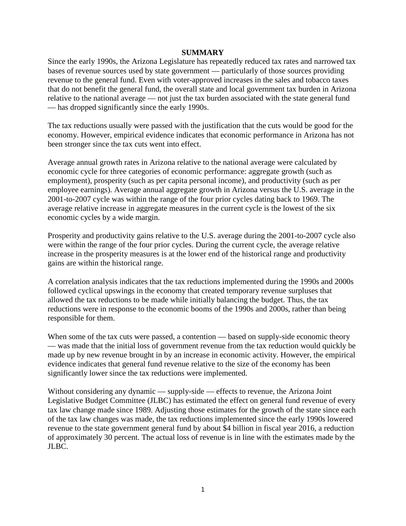#### **SUMMARY**

Since the early 1990s, the Arizona Legislature has repeatedly reduced tax rates and narrowed tax bases of revenue sources used by state government — particularly of those sources providing revenue to the general fund. Even with voter-approved increases in the sales and tobacco taxes that do not benefit the general fund, the overall state and local government tax burden in Arizona relative to the national average — not just the tax burden associated with the state general fund — has dropped significantly since the early 1990s.

The tax reductions usually were passed with the justification that the cuts would be good for the economy. However, empirical evidence indicates that economic performance in Arizona has not been stronger since the tax cuts went into effect.

Average annual growth rates in Arizona relative to the national average were calculated by economic cycle for three categories of economic performance: aggregate growth (such as employment), prosperity (such as per capita personal income), and productivity (such as per employee earnings). Average annual aggregate growth in Arizona versus the U.S. average in the 2001-to-2007 cycle was within the range of the four prior cycles dating back to 1969. The average relative increase in aggregate measures in the current cycle is the lowest of the six economic cycles by a wide margin.

Prosperity and productivity gains relative to the U.S. average during the 2001-to-2007 cycle also were within the range of the four prior cycles. During the current cycle, the average relative increase in the prosperity measures is at the lower end of the historical range and productivity gains are within the historical range.

A correlation analysis indicates that the tax reductions implemented during the 1990s and 2000s followed cyclical upswings in the economy that created temporary revenue surpluses that allowed the tax reductions to be made while initially balancing the budget. Thus, the tax reductions were in response to the economic booms of the 1990s and 2000s, rather than being responsible for them.

When some of the tax cuts were passed, a contention — based on supply-side economic theory — was made that the initial loss of government revenue from the tax reduction would quickly be made up by new revenue brought in by an increase in economic activity. However, the empirical evidence indicates that general fund revenue relative to the size of the economy has been significantly lower since the tax reductions were implemented.

Without considering any dynamic — supply-side — effects to revenue, the Arizona Joint Legislative Budget Committee (JLBC) has estimated the effect on general fund revenue of every tax law change made since 1989. Adjusting those estimates for the growth of the state since each of the tax law changes was made, the tax reductions implemented since the early 1990s lowered revenue to the state government general fund by about \$4 billion in fiscal year 2016, a reduction of approximately 30 percent. The actual loss of revenue is in line with the estimates made by the JLBC.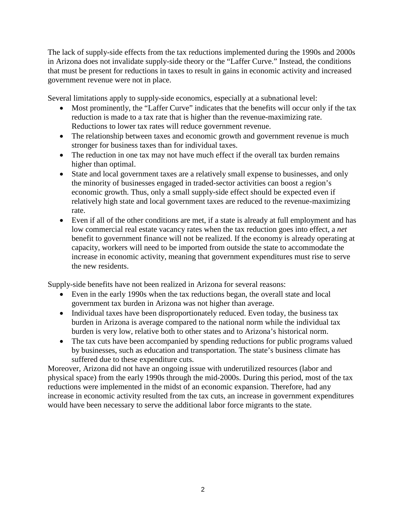The lack of supply-side effects from the tax reductions implemented during the 1990s and 2000s in Arizona does not invalidate supply-side theory or the "Laffer Curve." Instead, the conditions that must be present for reductions in taxes to result in gains in economic activity and increased government revenue were not in place.

Several limitations apply to supply-side economics, especially at a subnational level:

- Most prominently, the "Laffer Curve" indicates that the benefits will occur only if the tax reduction is made to a tax rate that is higher than the revenue-maximizing rate. Reductions to lower tax rates will reduce government revenue.
- The relationship between taxes and economic growth and government revenue is much stronger for business taxes than for individual taxes.
- The reduction in one tax may not have much effect if the overall tax burden remains higher than optimal.
- State and local government taxes are a relatively small expense to businesses, and only the minority of businesses engaged in traded-sector activities can boost a region's economic growth. Thus, only a small supply-side effect should be expected even if relatively high state and local government taxes are reduced to the revenue-maximizing rate.
- Even if all of the other conditions are met, if a state is already at full employment and has low commercial real estate vacancy rates when the tax reduction goes into effect, a *net* benefit to government finance will not be realized. If the economy is already operating at capacity, workers will need to be imported from outside the state to accommodate the increase in economic activity, meaning that government expenditures must rise to serve the new residents.

Supply-side benefits have not been realized in Arizona for several reasons:

- Even in the early 1990s when the tax reductions began, the overall state and local government tax burden in Arizona was not higher than average.
- Individual taxes have been disproportionately reduced. Even today, the business tax burden in Arizona is average compared to the national norm while the individual tax burden is very low, relative both to other states and to Arizona's historical norm.
- The tax cuts have been accompanied by spending reductions for public programs valued by businesses, such as education and transportation. The state's business climate has suffered due to these expenditure cuts.

Moreover, Arizona did not have an ongoing issue with underutilized resources (labor and physical space) from the early 1990s through the mid-2000s. During this period, most of the tax reductions were implemented in the midst of an economic expansion. Therefore, had any increase in economic activity resulted from the tax cuts, an increase in government expenditures would have been necessary to serve the additional labor force migrants to the state.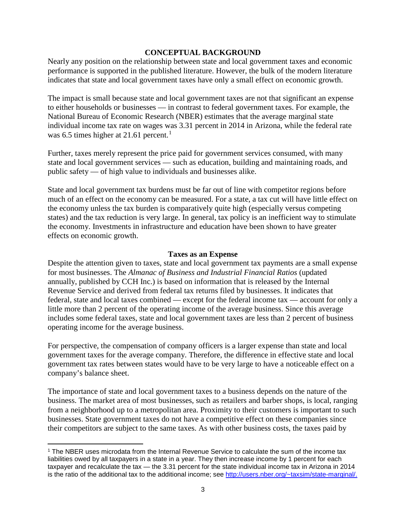#### **CONCEPTUAL BACKGROUND**

Nearly any position on the relationship between state and local government taxes and economic performance is supported in the published literature. However, the bulk of the modern literature indicates that state and local government taxes have only a small effect on economic growth.

The impact is small because state and local government taxes are not that significant an expense to either households or businesses — in contrast to federal government taxes. For example, the National Bureau of Economic Research (NBER) estimates that the average marginal state individual income tax rate on wages was 3.31 percent in 2014 in Arizona, while the federal rate was 6.5 times higher at 2[1](#page-4-0).61 percent.<sup>1</sup>

Further, taxes merely represent the price paid for government services consumed, with many state and local government services — such as education, building and maintaining roads, and public safety — of high value to individuals and businesses alike.

State and local government tax burdens must be far out of line with competitor regions before much of an effect on the economy can be measured. For a state, a tax cut will have little effect on the economy unless the tax burden is comparatively quite high (especially versus competing states) and the tax reduction is very large. In general, tax policy is an inefficient way to stimulate the economy. Investments in infrastructure and education have been shown to have greater effects on economic growth.

#### **Taxes as an Expense**

Despite the attention given to taxes, state and local government tax payments are a small expense for most businesses. The *Almanac of Business and Industrial Financial Ratios* (updated annually, published by CCH Inc.) is based on information that is released by the Internal Revenue Service and derived from federal tax returns filed by businesses. It indicates that federal, state and local taxes combined — except for the federal income tax — account for only a little more than 2 percent of the operating income of the average business. Since this average includes some federal taxes, state and local government taxes are less than 2 percent of business operating income for the average business.

For perspective, the compensation of company officers is a larger expense than state and local government taxes for the average company. Therefore, the difference in effective state and local government tax rates between states would have to be very large to have a noticeable effect on a company's balance sheet.

The importance of state and local government taxes to a business depends on the nature of the business. The market area of most businesses, such as retailers and barber shops, is local, ranging from a neighborhood up to a metropolitan area. Proximity to their customers is important to such businesses. State government taxes do not have a competitive effect on these companies since their competitors are subject to the same taxes. As with other business costs, the taxes paid by

l

<span id="page-4-0"></span><sup>1</sup> The NBER uses microdata from the Internal Revenue Service to calculate the sum of the income tax liabilities owed by all taxpayers in a state in a year. They then increase income by 1 percent for each taxpayer and recalculate the tax — the 3.31 percent for the state individual income tax in Arizona in 2014 is the ratio of the additional tax to the additional income; see [http://users.nber.org/~taxsim/state-marginal/.](http://users.nber.org/%7Etaxsim/state-marginal/)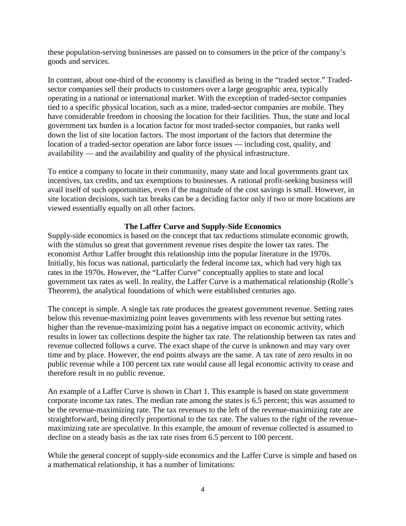these population-serving businesses are passed on to consumers in the price of the company's goods and services.

In contrast, about one-third of the economy is classified as being in the "traded sector." Tradedsector companies sell their products to customers over a large geographic area, typically operating in a national or international market. With the exception of traded-sector companies tied to a specific physical location, such as a mine, traded-sector companies are mobile. They have considerable freedom in choosing the location for their facilities. Thus, the state and local government tax burden is a location factor for most traded-sector companies, but ranks well down the list of site location factors. The most important of the factors that determine the location of a traded-sector operation are labor force issues — including cost, quality, and availability — and the availability and quality of the physical infrastructure.

To entice a company to locate in their community, many state and local governments grant tax incentives, tax credits, and tax exemptions to businesses. A rational profit-seeking business will avail itself of such opportunities, even if the magnitude of the cost savings is small. However, in site location decisions, such tax breaks can be a deciding factor only if two or more locations are viewed essentially equally on all other factors.

## **The Laffer Curve and Supply-Side Economics**

Supply-side economics is based on the concept that tax reductions stimulate economic growth, with the stimulus so great that government revenue rises despite the lower tax rates. The economist Arthur Laffer brought this relationship into the popular literature in the 1970s. Initially, his focus was national, particularly the federal income tax, which had very high tax rates in the 1970s. However, the "Laffer Curve" conceptually applies to state and local government tax rates as well. In reality, the Laffer Curve is a mathematical relationship (Rolle's Theorem), the analytical foundations of which were established centuries ago.

The concept is simple. A single tax rate produces the greatest government revenue. Setting rates below this revenue-maximizing point leaves governments with less revenue but setting rates higher than the revenue-maximizing point has a negative impact on economic activity, which results in lower tax collections despite the higher tax rate. The relationship between tax rates and revenue collected follows a curve. The exact shape of the curve is unknown and may vary over time and by place. However, the end points always are the same. A tax rate of zero results in no public revenue while a 100 percent tax rate would cause all legal economic activity to cease and therefore result in no public revenue.

An example of a Laffer Curve is shown in Chart 1. This example is based on state government corporate income tax rates. The median rate among the states is 6.5 percent; this was assumed to be the revenue-maximizing rate. The tax revenues to the left of the revenue-maximizing rate are straightforward, being directly proportional to the tax rate. The values to the right of the revenuemaximizing rate are speculative. In this example, the amount of revenue collected is assumed to decline on a steady basis as the tax rate rises from 6.5 percent to 100 percent.

While the general concept of supply-side economics and the Laffer Curve is simple and based on a mathematical relationship, it has a number of limitations: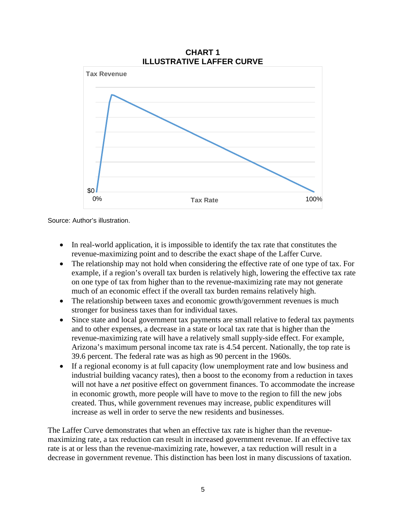

Source: Author's illustration.

- In real-world application, it is impossible to identify the tax rate that constitutes the revenue-maximizing point and to describe the exact shape of the Laffer Curve.
- The relationship may not hold when considering the effective rate of one type of tax. For example, if a region's overall tax burden is relatively high, lowering the effective tax rate on one type of tax from higher than to the revenue-maximizing rate may not generate much of an economic effect if the overall tax burden remains relatively high.
- The relationship between taxes and economic growth/government revenues is much stronger for business taxes than for individual taxes.
- Since state and local government tax payments are small relative to federal tax payments and to other expenses, a decrease in a state or local tax rate that is higher than the revenue-maximizing rate will have a relatively small supply-side effect. For example, Arizona's maximum personal income tax rate is 4.54 percent. Nationally, the top rate is 39.6 percent. The federal rate was as high as 90 percent in the 1960s.
- If a regional economy is at full capacity (low unemployment rate and low business and industrial building vacancy rates), then a boost to the economy from a reduction in taxes will not have a *net* positive effect on government finances. To accommodate the increase in economic growth, more people will have to move to the region to fill the new jobs created. Thus, while government revenues may increase, public expenditures will increase as well in order to serve the new residents and businesses.

The Laffer Curve demonstrates that when an effective tax rate is higher than the revenuemaximizing rate, a tax reduction can result in increased government revenue. If an effective tax rate is at or less than the revenue-maximizing rate, however, a tax reduction will result in a decrease in government revenue. This distinction has been lost in many discussions of taxation.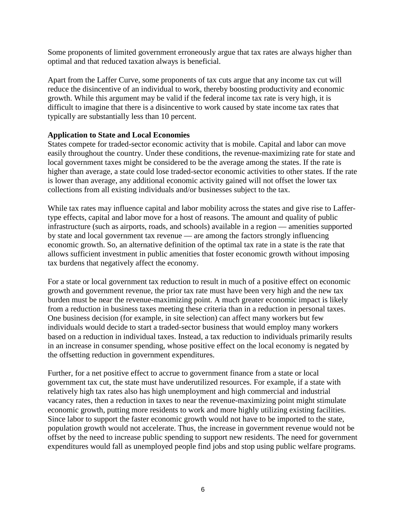Some proponents of limited government erroneously argue that tax rates are always higher than optimal and that reduced taxation always is beneficial.

Apart from the Laffer Curve, some proponents of tax cuts argue that any income tax cut will reduce the disincentive of an individual to work, thereby boosting productivity and economic growth. While this argument may be valid if the federal income tax rate is very high, it is difficult to imagine that there is a disincentive to work caused by state income tax rates that typically are substantially less than 10 percent.

## **Application to State and Local Economies**

States compete for traded-sector economic activity that is mobile. Capital and labor can move easily throughout the country. Under these conditions, the revenue-maximizing rate for state and local government taxes might be considered to be the average among the states. If the rate is higher than average, a state could lose traded-sector economic activities to other states. If the rate is lower than average, any additional economic activity gained will not offset the lower tax collections from all existing individuals and/or businesses subject to the tax.

While tax rates may influence capital and labor mobility across the states and give rise to Laffertype effects, capital and labor move for a host of reasons. The amount and quality of public infrastructure (such as airports, roads, and schools) available in a region — amenities supported by state and local government tax revenue — are among the factors strongly influencing economic growth. So, an alternative definition of the optimal tax rate in a state is the rate that allows sufficient investment in public amenities that foster economic growth without imposing tax burdens that negatively affect the economy.

For a state or local government tax reduction to result in much of a positive effect on economic growth and government revenue, the prior tax rate must have been very high and the new tax burden must be near the revenue-maximizing point. A much greater economic impact is likely from a reduction in business taxes meeting these criteria than in a reduction in personal taxes. One business decision (for example, in site selection) can affect many workers but few individuals would decide to start a traded-sector business that would employ many workers based on a reduction in individual taxes. Instead, a tax reduction to individuals primarily results in an increase in consumer spending, whose positive effect on the local economy is negated by the offsetting reduction in government expenditures.

Further, for a net positive effect to accrue to government finance from a state or local government tax cut, the state must have underutilized resources. For example, if a state with relatively high tax rates also has high unemployment and high commercial and industrial vacancy rates, then a reduction in taxes to near the revenue-maximizing point might stimulate economic growth, putting more residents to work and more highly utilizing existing facilities. Since labor to support the faster economic growth would not have to be imported to the state, population growth would not accelerate. Thus, the increase in government revenue would not be offset by the need to increase public spending to support new residents. The need for government expenditures would fall as unemployed people find jobs and stop using public welfare programs.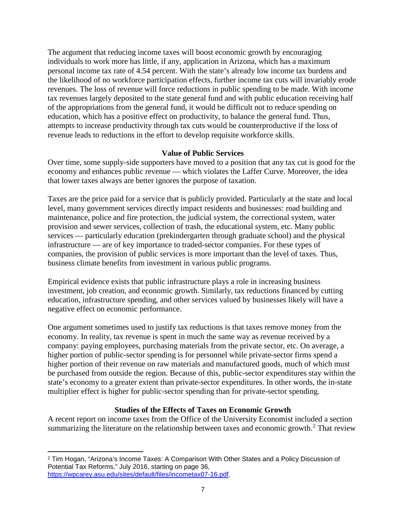The argument that reducing income taxes will boost economic growth by encouraging individuals to work more has little, if any, application in Arizona, which has a maximum personal income tax rate of 4.54 percent. With the state's already low income tax burdens and the likelihood of no workforce participation effects, further income tax cuts will invariably erode revenues. The loss of revenue will force reductions in public spending to be made. With income tax revenues largely deposited to the state general fund and with public education receiving half of the appropriations from the general fund, it would be difficult not to reduce spending on education, which has a positive effect on productivity, to balance the general fund. Thus, attempts to increase productivity through tax cuts would be counterproductive if the loss of revenue leads to reductions in the effort to develop requisite workforce skills.

#### **Value of Public Services**

Over time, some supply-side supporters have moved to a position that any tax cut is good for the economy and enhances public revenue — which violates the Laffer Curve. Moreover, the idea that lower taxes always are better ignores the purpose of taxation.

Taxes are the price paid for a service that is publicly provided. Particularly at the state and local level, many government services directly impact residents and businesses: road building and maintenance, police and fire protection, the judicial system, the correctional system, water provision and sewer services, collection of trash, the educational system, etc. Many public services — particularly education (prekindergarten through graduate school) and the physical infrastructure — are of key importance to traded-sector companies. For these types of companies, the provision of public services is more important than the level of taxes. Thus, business climate benefits from investment in various public programs.

Empirical evidence exists that public infrastructure plays a role in increasing business investment, job creation, and economic growth. Similarly, tax reductions financed by cutting education, infrastructure spending, and other services valued by businesses likely will have a negative effect on economic performance.

One argument sometimes used to justify tax reductions is that taxes remove money from the economy. In reality, tax revenue is spent in much the same way as revenue received by a company: paying employees, purchasing materials from the private sector, etc. On average, a higher portion of public-sector spending is for personnel while private-sector firms spend a higher portion of their revenue on raw materials and manufactured goods, much of which must be purchased from outside the region. Because of this, public-sector expenditures stay within the state's economy to a greater extent than private-sector expenditures. In other words, the in-state multiplier effect is higher for public-sector spending than for private-sector spending.

## **Studies of the Effects of Taxes on Economic Growth**

A recent report on income taxes from the Office of the University Economist included a section summarizing the literature on the relationship between taxes and economic growth.<sup>[2](#page-8-0)</sup> That review

<span id="page-8-0"></span> $\overline{\phantom{a}}$ <sup>2</sup> Tim Hogan, "Arizona's Income Taxes: A Comparison With Other States and a Policy Discussion of Potential Tax Reforms," July 2016, starting on page 36, [https://wpcarey.asu.edu/sites/default/files/incometax07-16.pdf.](https://wpcarey.asu.edu/sites/default/files/incometax07-16.pdf)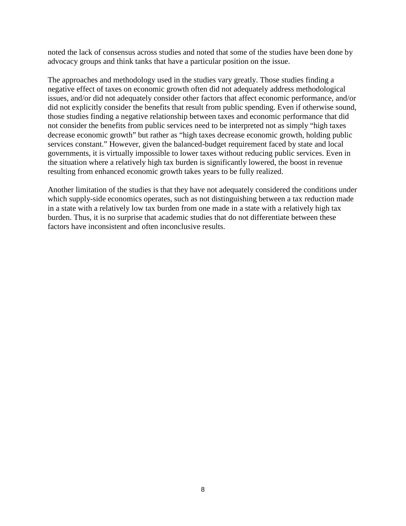noted the lack of consensus across studies and noted that some of the studies have been done by advocacy groups and think tanks that have a particular position on the issue.

The approaches and methodology used in the studies vary greatly. Those studies finding a negative effect of taxes on economic growth often did not adequately address methodological issues, and/or did not adequately consider other factors that affect economic performance, and/or did not explicitly consider the benefits that result from public spending. Even if otherwise sound, those studies finding a negative relationship between taxes and economic performance that did not consider the benefits from public services need to be interpreted not as simply "high taxes decrease economic growth" but rather as "high taxes decrease economic growth, holding public services constant." However, given the balanced-budget requirement faced by state and local governments, it is virtually impossible to lower taxes without reducing public services. Even in the situation where a relatively high tax burden is significantly lowered, the boost in revenue resulting from enhanced economic growth takes years to be fully realized.

Another limitation of the studies is that they have not adequately considered the conditions under which supply-side economics operates, such as not distinguishing between a tax reduction made in a state with a relatively low tax burden from one made in a state with a relatively high tax burden. Thus, it is no surprise that academic studies that do not differentiate between these factors have inconsistent and often inconclusive results.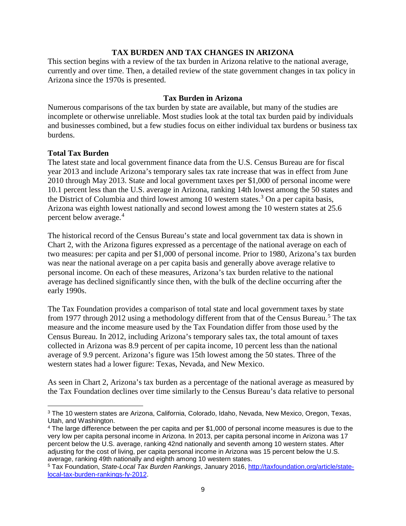#### **TAX BURDEN AND TAX CHANGES IN ARIZONA**

This section begins with a review of the tax burden in Arizona relative to the national average, currently and over time. Then, a detailed review of the state government changes in tax policy in Arizona since the 1970s is presented.

#### **Tax Burden in Arizona**

Numerous comparisons of the tax burden by state are available, but many of the studies are incomplete or otherwise unreliable. Most studies look at the total tax burden paid by individuals and businesses combined, but a few studies focus on either individual tax burdens or business tax burdens.

#### **Total Tax Burden**

 $\overline{\phantom{a}}$ 

The latest state and local government finance data from the U.S. Census Bureau are for fiscal year 2013 and include Arizona's temporary sales tax rate increase that was in effect from June 2010 through May 2013. State and local government taxes per \$1,000 of personal income were 10.1 percent less than the U.S. average in Arizona, ranking 14th lowest among the 50 states and the District of Columbia and third lowest among 10 western states.<sup>[3](#page-10-0)</sup> On a per capita basis, Arizona was eighth lowest nationally and second lowest among the 10 western states at 25.6 percent below average.[4](#page-10-1)

The historical record of the Census Bureau's state and local government tax data is shown in Chart 2, with the Arizona figures expressed as a percentage of the national average on each of two measures: per capita and per \$1,000 of personal income. Prior to 1980, Arizona's tax burden was near the national average on a per capita basis and generally above average relative to personal income. On each of these measures, Arizona's tax burden relative to the national average has declined significantly since then, with the bulk of the decline occurring after the early 1990s.

The Tax Foundation provides a comparison of total state and local government taxes by state from 1977 through 2012 using a methodology different from that of the Census Bureau.<sup>[5](#page-10-2)</sup> The tax measure and the income measure used by the Tax Foundation differ from those used by the Census Bureau. In 2012, including Arizona's temporary sales tax, the total amount of taxes collected in Arizona was 8.9 percent of per capita income, 10 percent less than the national average of 9.9 percent. Arizona's figure was 15th lowest among the 50 states. Three of the western states had a lower figure: Texas, Nevada, and New Mexico.

As seen in Chart 2, Arizona's tax burden as a percentage of the national average as measured by the Tax Foundation declines over time similarly to the Census Bureau's data relative to personal

<span id="page-10-0"></span><sup>3</sup> The 10 western states are Arizona, California, Colorado, Idaho, Nevada, New Mexico, Oregon, Texas, Utah, and Washington.

<span id="page-10-1"></span><sup>4</sup> The large difference between the per capita and per \$1,000 of personal income measures is due to the very low per capita personal income in Arizona. In 2013, per capita personal income in Arizona was 17 percent below the U.S. average, ranking 42nd nationally and seventh among 10 western states. After adjusting for the cost of living, per capita personal income in Arizona was 15 percent below the U.S. average, ranking 49th nationally and eighth among 10 western states.

<span id="page-10-2"></span><sup>5</sup> Tax Foundation, *State-Local Tax Burden Rankings*, January 2016, [http://taxfoundation.org/article/state](http://taxfoundation.org/article/state-local-tax-burden-rankings-fy-2012)[local-tax-burden-rankings-fy-2012.](http://taxfoundation.org/article/state-local-tax-burden-rankings-fy-2012)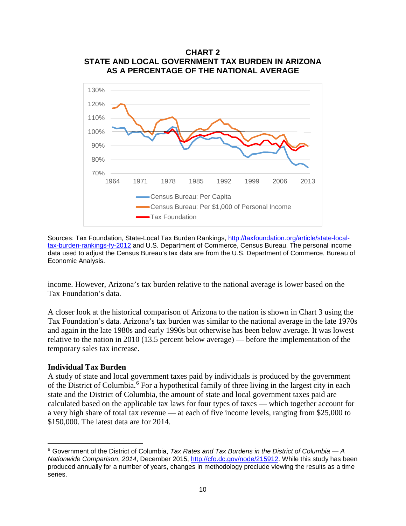

Sources: Tax Foundation, State-Local Tax Burden Rankings, [http://taxfoundation.org/article/state-local](http://taxfoundation.org/article/state-local-tax-burden-rankings-fy-2012)[tax-burden-rankings-fy-2012](http://taxfoundation.org/article/state-local-tax-burden-rankings-fy-2012) and U.S. Department of Commerce, Census Bureau. The personal income data used to adjust the Census Bureau's tax data are from the U.S. Department of Commerce, Bureau of Economic Analysis.

income. However, Arizona's tax burden relative to the national average is lower based on the Tax Foundation's data.

A closer look at the historical comparison of Arizona to the nation is shown in Chart 3 using the Tax Foundation's data. Arizona's tax burden was similar to the national average in the late 1970s and again in the late 1980s and early 1990s but otherwise has been below average. It was lowest relative to the nation in 2010 (13.5 percent below average) — before the implementation of the temporary sales tax increase.

#### **Individual Tax Burden**

l

A study of state and local government taxes paid by individuals is produced by the government of the District of Columbia.<sup>[6](#page-11-0)</sup> For a hypothetical family of three living in the largest city in each state and the District of Columbia, the amount of state and local government taxes paid are calculated based on the applicable tax laws for four types of taxes — which together account for a very high share of total tax revenue — at each of five income levels, ranging from \$25,000 to \$150,000. The latest data are for 2014.

<span id="page-11-0"></span><sup>6</sup> Government of the District of Columbia, *Tax Rates and Tax Burdens in the District of Columbia — A Nationwide Comparison*, *2014*, December 2015, [http://cfo.dc.gov/node/215912.](http://cfo.dc.gov/node/215912) While this study has been produced annually for a number of years, changes in methodology preclude viewing the results as a time series.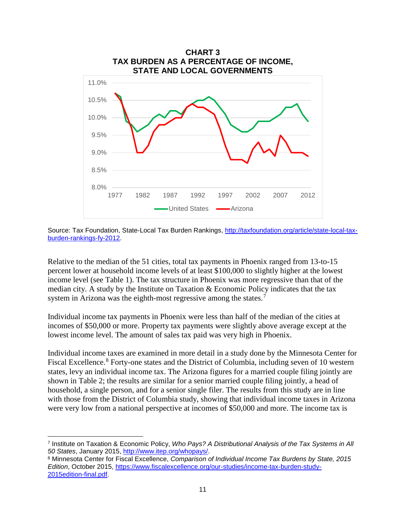

Source: Tax Foundation, State-Local Tax Burden Rankings, [http://taxfoundation.org/article/state-local-tax](http://taxfoundation.org/article/state-local-tax-burden-rankings-fy-2012)[burden-rankings-fy-2012.](http://taxfoundation.org/article/state-local-tax-burden-rankings-fy-2012)

Relative to the median of the 51 cities, total tax payments in Phoenix ranged from 13-to-15 percent lower at household income levels of at least \$100,000 to slightly higher at the lowest income level (see Table 1). The tax structure in Phoenix was more regressive than that of the median city. A study by the Institute on Taxation & Economic Policy indicates that the tax system in Arizona was the eighth-most regressive among the states.<sup>[7](#page-12-0)</sup>

Individual income tax payments in Phoenix were less than half of the median of the cities at incomes of \$50,000 or more. Property tax payments were slightly above average except at the lowest income level. The amount of sales tax paid was very high in Phoenix.

Individual income taxes are examined in more detail in a study done by the Minnesota Center for Fiscal Excellence.<sup>[8](#page-12-1)</sup> Forty-one states and the District of Columbia, including seven of 10 western states, levy an individual income tax. The Arizona figures for a married couple filing jointly are shown in Table 2; the results are similar for a senior married couple filing jointly, a head of household, a single person, and for a senior single filer. The results from this study are in line with those from the District of Columbia study, showing that individual income taxes in Arizona were very low from a national perspective at incomes of \$50,000 and more. The income tax is

 $\overline{\phantom{a}}$ 

<span id="page-12-0"></span><sup>7</sup> Institute on Taxation & Economic Policy, *Who Pays? A Distributional Analysis of the Tax Systems in All 50 States*, January 2015, [http://www.itep.org/whopays/.](http://www.itep.org/whopays/)

<span id="page-12-1"></span><sup>8</sup> Minnesota Center for Fiscal Excellence, *Comparison of Individual Income Tax Burdens by State, 2015 Edition*, October 2015, [https://www.fiscalexcellence.org/our-studies/income-tax-burden-study-](https://www.fiscalexcellence.org/our-studies/income-tax-burden-study-2015edition-final.pdf)[2015edition-final.pdf.](https://www.fiscalexcellence.org/our-studies/income-tax-burden-study-2015edition-final.pdf)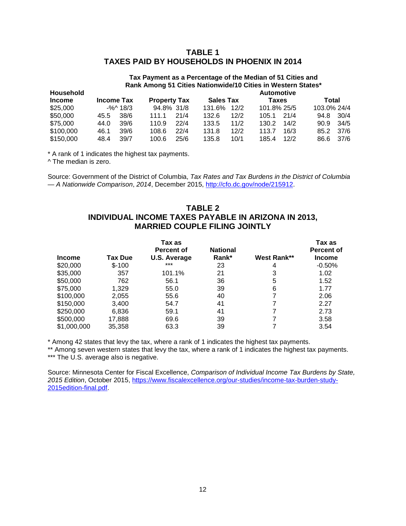## **TABLE 1 TAXES PAID BY HOUSEHOLDS IN PHOENIX IN 2014**

## **Tax Payment as a Percentage of the Median of 51 Cities and Rank Among 51 Cities Nationwide/10 Cities in Western States\***

| <b>Household</b> |      |                   |                     |      | <b>Automotive</b> |      |             |      |             |           |
|------------------|------|-------------------|---------------------|------|-------------------|------|-------------|------|-------------|-----------|
| <b>Income</b>    |      | <b>Income Tax</b> | <b>Property Tax</b> |      | <b>Sales Tax</b>  |      | Taxes       |      | Total       |           |
| \$25,000         |      | $-$ %^ 18/3       | 94.8% 31/8          |      | 131.6%            | 12/2 | 101.8% 25/5 |      | 103.0% 24/4 |           |
| \$50,000         | 45.5 | 38/6              | 111.1               | 21/4 | 132.6             | 12/2 | 105.1       | 21/4 | 94.8        | 30/4      |
| \$75,000         | 44.0 | 39/6              | 110.9               | 22/4 | 133.5             | 11/2 | 130.2       | 14/2 | 90.9        | 34/5      |
| \$100,000        | 46.1 | 39/6              | 108.6               | 22/4 | 131.8             | 12/2 | 113.7       | 16/3 |             | 85.2 37/6 |
| \$150,000        | 48.4 | 39/7              | 100.6               | 25/6 | 135.8             | 10/1 | 185.4       | 12/2 | 86.6        | 37/6      |

\* A rank of 1 indicates the highest tax payments.

^ The median is zero.

Source: Government of the District of Columbia, *Tax Rates and Tax Burdens in the District of Columbia — A Nationwide Comparison*, *2014*, December 2015, [http://cfo.dc.gov/node/215912.](http://cfo.dc.gov/node/215912)

## **TABLE 2 INDIVIDUAL INCOME TAXES PAYABLE IN ARIZONA IN 2013, MARRIED COUPLE FILING JOINTLY**

|               |         | Tax as<br><b>Percent of</b> | <b>National</b> |             | Tax as<br><b>Percent of</b> |
|---------------|---------|-----------------------------|-----------------|-------------|-----------------------------|
| <b>Income</b> | Tax Due | <b>U.S. Average</b>         | Rank*           | West Rank** | <b>Income</b>               |
| \$20,000      | $$-100$ | $***$                       | 23              | 4           | $-0.50%$                    |
| \$35,000      | 357     | 101.1%                      | 21              | 3           | 1.02                        |
| \$50,000      | 762     | 56.1                        | 36              | 5           | 1.52                        |
| \$75,000      | 1,329   | 55.0                        | 39              | 6           | 1.77                        |
| \$100,000     | 2,055   | 55.6                        | 40              | 7           | 2.06                        |
| \$150,000     | 3,400   | 54.7                        | 41              | 7           | 2.27                        |
| \$250,000     | 6,836   | 59.1                        | 41              | 7           | 2.73                        |
| \$500,000     | 17,888  | 69.6                        | 39              |             | 3.58                        |
| \$1,000,000   | 35,358  | 63.3                        | 39              |             | 3.54                        |

\* Among 42 states that levy the tax, where a rank of 1 indicates the highest tax payments.

\*\* Among seven western states that levy the tax, where a rank of 1 indicates the highest tax payments. \*\*\* The U.S. average also is negative.

Source: Minnesota Center for Fiscal Excellence, *Comparison of Individual Income Tax Burdens by State, 2015 Edition*, October 2015, [https://www.fiscalexcellence.org/our-studies/income-tax-burden-study-](https://www.fiscalexcellence.org/our-studies/income-tax-burden-study-2015edition-final.pdf)[2015edition-final.pdf.](https://www.fiscalexcellence.org/our-studies/income-tax-burden-study-2015edition-final.pdf)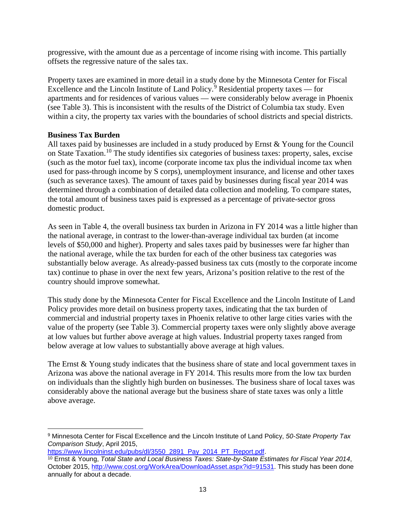progressive, with the amount due as a percentage of income rising with income. This partially offsets the regressive nature of the sales tax.

Property taxes are examined in more detail in a study done by the Minnesota Center for Fiscal Excellence and the Lincoln Institute of Land Policy.<sup>[9](#page-14-0)</sup> Residential property taxes — for apartments and for residences of various values — were considerably below average in Phoenix (see Table 3). This is inconsistent with the results of the District of Columbia tax study. Even within a city, the property tax varies with the boundaries of school districts and special districts.

## **Business Tax Burden**

All taxes paid by businesses are included in a study produced by Ernst & Young for the Council on State Taxation.<sup>[10](#page-14-1)</sup> The study identifies six categories of business taxes: property, sales, excise (such as the motor fuel tax), income (corporate income tax plus the individual income tax when used for pass-through income by S corps), unemployment insurance, and license and other taxes (such as severance taxes). The amount of taxes paid by businesses during fiscal year 2014 was determined through a combination of detailed data collection and modeling. To compare states, the total amount of business taxes paid is expressed as a percentage of private-sector gross domestic product.

As seen in Table 4, the overall business tax burden in Arizona in FY 2014 was a little higher than the national average, in contrast to the lower-than-average individual tax burden (at income levels of \$50,000 and higher). Property and sales taxes paid by businesses were far higher than the national average, while the tax burden for each of the other business tax categories was substantially below average. As already-passed business tax cuts (mostly to the corporate income tax) continue to phase in over the next few years, Arizona's position relative to the rest of the country should improve somewhat.

This study done by the Minnesota Center for Fiscal Excellence and the Lincoln Institute of Land Policy provides more detail on business property taxes, indicating that the tax burden of commercial and industrial property taxes in Phoenix relative to other large cities varies with the value of the property (see Table 3). Commercial property taxes were only slightly above average at low values but further above average at high values. Industrial property taxes ranged from below average at low values to substantially above average at high values.

The Ernst & Young study indicates that the business share of state and local government taxes in Arizona was above the national average in FY 2014. This results more from the low tax burden on individuals than the slightly high burden on businesses. The business share of local taxes was considerably above the national average but the business share of state taxes was only a little above average.

<span id="page-14-0"></span> $\overline{\phantom{a}}$ <sup>9</sup> Minnesota Center for Fiscal Excellence and the Lincoln Institute of Land Policy, *50-State Property Tax Comparison Study*, April 2015,

[https://www.lincolninst.edu/pubs/dl/3550\\_2891\\_Pay\\_2014\\_PT\\_Report.pdf.](https://www.lincolninst.edu/pubs/dl/3550_2891_Pay_2014_PT_Report.pdf)

<span id="page-14-1"></span><sup>10</sup> Ernst & Young, *Total State and Local Business Taxes: State-by-State Estimates for Fiscal Year 2014*, October 2015, [http://www.cost.org/WorkArea/DownloadAsset.aspx?id=91531.](http://www.cost.org/WorkArea/DownloadAsset.aspx?id=91531) This study has been done annually for about a decade.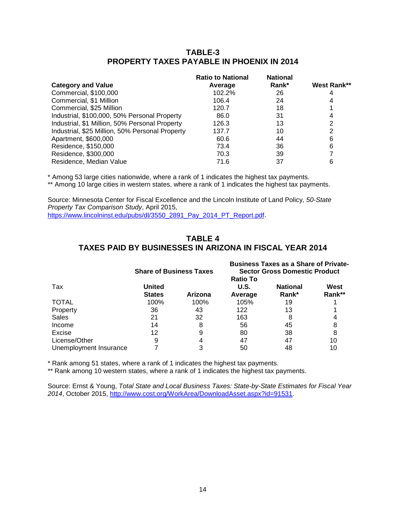#### **TABLE-3 PROPERTY TAXES PAYABLE IN PHOENIX IN 2014**

|                                                 | <b>Ratio to National</b> | <b>National</b> |             |
|-------------------------------------------------|--------------------------|-----------------|-------------|
| <b>Category and Value</b>                       | Average                  | Rank*           | West Rank** |
| Commercial, \$100,000                           | 102.2%                   | 26              |             |
| Commercial, \$1 Million                         | 106.4                    | 24              | 4           |
| Commercial, \$25 Million                        | 120.7                    | 18              |             |
| Industrial, \$100,000, 50% Personal Property    | 86.0                     | 31              |             |
| Industrial, \$1 Million, 50% Personal Property  | 126.3                    | 13              | 2           |
| Industrial, \$25 Million, 50% Personal Property | 137.7                    | 10              | 2           |
| Apartment, \$600,000                            | 60.6                     | 44              | 6           |
| Residence, \$150,000                            | 73.4                     | 36              | 6           |
| Residence, \$300,000                            | 70.3                     | 39              |             |
| Residence, Median Value                         | 71.6                     | 37              | 6           |

\* Among 53 large cities nationwide, where a rank of 1 indicates the highest tax payments.

\*\* Among 10 large cities in western states, where a rank of 1 indicates the highest tax payments.

Source: Minnesota Center for Fiscal Excellence and the Lincoln Institute of Land Policy, *50-State Property Tax Comparison Study*, April 2015, [https://www.lincolninst.edu/pubs/dl/3550\\_2891\\_Pay\\_2014\\_PT\\_Report.pdf.](https://www.lincolninst.edu/pubs/dl/3550_2891_Pay_2014_PT_Report.pdf)

#### **TABLE 4 TAXES PAID BY BUSINESSES IN ARIZONA IN FISCAL YEAR 2014**

|                        | <b>Share of Business Taxes</b> |         | <b>Business Taxes as a Share of Private-</b><br><b>Sector Gross Domestic Product</b><br><b>Ratio To</b> |                          |                |  |
|------------------------|--------------------------------|---------|---------------------------------------------------------------------------------------------------------|--------------------------|----------------|--|
| Tax                    | United<br><b>States</b>        | Arizona | U.S.<br>Average                                                                                         | <b>National</b><br>Rank* | West<br>Rank** |  |
| <b>TOTAL</b>           | 100%                           | 100%    | 105%                                                                                                    | 19                       |                |  |
| Property               | 36                             | 43      | 122                                                                                                     | 13                       |                |  |
| <b>Sales</b>           | 21                             | 32      | 163                                                                                                     | 8                        |                |  |
| Income                 | 14                             | 8       | 56                                                                                                      | 45                       |                |  |
| Excise                 | 12                             |         | 80                                                                                                      | 38                       |                |  |
| License/Other          | 9                              |         | 47                                                                                                      | 47                       | 10             |  |
| Unemployment Insurance |                                |         | 50                                                                                                      | 48                       |                |  |

\* Rank among 51 states, where a rank of 1 indicates the highest tax payments.

\*\* Rank among 10 western states, where a rank of 1 indicates the highest tax payments.

Source: Ernst & Young, *Total State and Local Business Taxes: State-by-State Estimates for Fiscal Year 2014*, October 2015, [http://www.cost.org/WorkArea/DownloadAsset.aspx?id=91531.](http://www.cost.org/WorkArea/DownloadAsset.aspx?id=91531)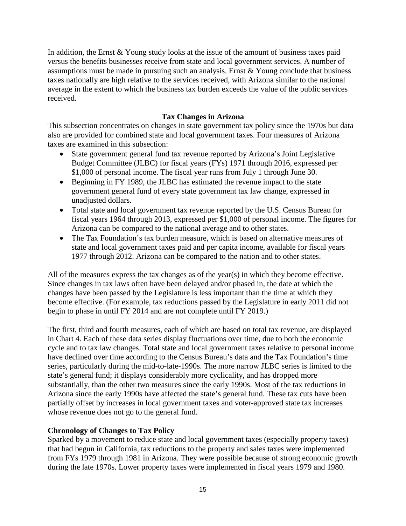In addition, the Ernst & Young study looks at the issue of the amount of business taxes paid versus the benefits businesses receive from state and local government services. A number of assumptions must be made in pursuing such an analysis. Ernst & Young conclude that business taxes nationally are high relative to the services received, with Arizona similar to the national average in the extent to which the business tax burden exceeds the value of the public services received.

## **Tax Changes in Arizona**

This subsection concentrates on changes in state government tax policy since the 1970s but data also are provided for combined state and local government taxes. Four measures of Arizona taxes are examined in this subsection:

- State government general fund tax revenue reported by Arizona's Joint Legislative Budget Committee (JLBC) for fiscal years (FYs) 1971 through 2016, expressed per \$1,000 of personal income. The fiscal year runs from July 1 through June 30.
- Beginning in FY 1989, the JLBC has estimated the revenue impact to the state government general fund of every state government tax law change, expressed in unadjusted dollars.
- Total state and local government tax revenue reported by the U.S. Census Bureau for fiscal years 1964 through 2013, expressed per \$1,000 of personal income. The figures for Arizona can be compared to the national average and to other states.
- The Tax Foundation's tax burden measure, which is based on alternative measures of state and local government taxes paid and per capita income, available for fiscal years 1977 through 2012. Arizona can be compared to the nation and to other states.

All of the measures express the tax changes as of the year(s) in which they become effective. Since changes in tax laws often have been delayed and/or phased in, the date at which the changes have been passed by the Legislature is less important than the time at which they become effective. (For example, tax reductions passed by the Legislature in early 2011 did not begin to phase in until FY 2014 and are not complete until FY 2019.)

The first, third and fourth measures, each of which are based on total tax revenue, are displayed in Chart 4. Each of these data series display fluctuations over time, due to both the economic cycle and to tax law changes. Total state and local government taxes relative to personal income have declined over time according to the Census Bureau's data and the Tax Foundation's time series, particularly during the mid-to-late-1990s. The more narrow JLBC series is limited to the state's general fund; it displays considerably more cyclicality, and has dropped more substantially, than the other two measures since the early 1990s. Most of the tax reductions in Arizona since the early 1990s have affected the state's general fund. These tax cuts have been partially offset by increases in local government taxes and voter-approved state tax increases whose revenue does not go to the general fund.

#### **Chronology of Changes to Tax Policy**

Sparked by a movement to reduce state and local government taxes (especially property taxes) that had begun in California, tax reductions to the property and sales taxes were implemented from FYs 1979 through 1981 in Arizona. They were possible because of strong economic growth during the late 1970s. Lower property taxes were implemented in fiscal years 1979 and 1980.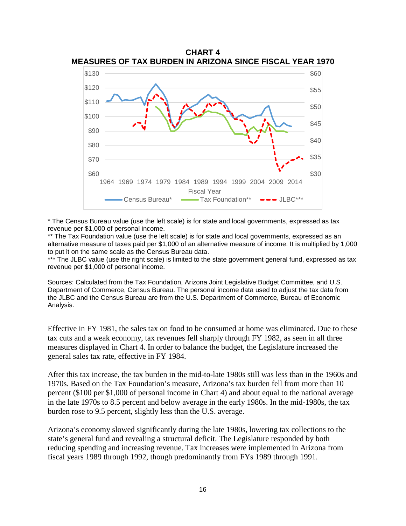

\* The Census Bureau value (use the left scale) is for state and local governments, expressed as tax revenue per \$1,000 of personal income.

\*\* The Tax Foundation value (use the left scale) is for state and local governments, expressed as an alternative measure of taxes paid per \$1,000 of an alternative measure of income. It is multiplied by 1,000 to put it on the same scale as the Census Bureau data.

\*\*\* The JLBC value (use the right scale) is limited to the state government general fund, expressed as tax revenue per \$1,000 of personal income.

Sources: Calculated from the Tax Foundation, Arizona Joint Legislative Budget Committee, and U.S. Department of Commerce, Census Bureau. The personal income data used to adjust the tax data from the JLBC and the Census Bureau are from the U.S. Department of Commerce, Bureau of Economic Analysis.

Effective in FY 1981, the sales tax on food to be consumed at home was eliminated. Due to these tax cuts and a weak economy, tax revenues fell sharply through FY 1982, as seen in all three measures displayed in Chart 4. In order to balance the budget, the Legislature increased the general sales tax rate, effective in FY 1984.

After this tax increase, the tax burden in the mid-to-late 1980s still was less than in the 1960s and 1970s. Based on the Tax Foundation's measure, Arizona's tax burden fell from more than 10 percent (\$100 per \$1,000 of personal income in Chart 4) and about equal to the national average in the late 1970s to 8.5 percent and below average in the early 1980s. In the mid-1980s, the tax burden rose to 9.5 percent, slightly less than the U.S. average.

Arizona's economy slowed significantly during the late 1980s, lowering tax collections to the state's general fund and revealing a structural deficit. The Legislature responded by both reducing spending and increasing revenue. Tax increases were implemented in Arizona from fiscal years 1989 through 1992, though predominantly from FYs 1989 through 1991.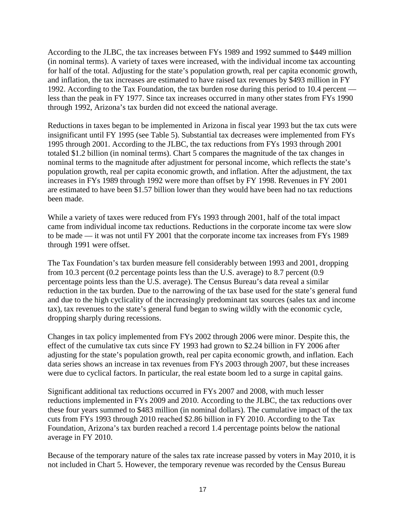According to the JLBC, the tax increases between FYs 1989 and 1992 summed to \$449 million (in nominal terms). A variety of taxes were increased, with the individual income tax accounting for half of the total. Adjusting for the state's population growth, real per capita economic growth, and inflation, the tax increases are estimated to have raised tax revenues by \$493 million in FY 1992. According to the Tax Foundation, the tax burden rose during this period to 10.4 percent less than the peak in FY 1977. Since tax increases occurred in many other states from FYs 1990 through 1992, Arizona's tax burden did not exceed the national average.

Reductions in taxes began to be implemented in Arizona in fiscal year 1993 but the tax cuts were insignificant until FY 1995 (see Table 5). Substantial tax decreases were implemented from FYs 1995 through 2001. According to the JLBC, the tax reductions from FYs 1993 through 2001 totaled \$1.2 billion (in nominal terms). Chart 5 compares the magnitude of the tax changes in nominal terms to the magnitude after adjustment for personal income, which reflects the state's population growth, real per capita economic growth, and inflation. After the adjustment, the tax increases in FYs 1989 through 1992 were more than offset by FY 1998. Revenues in FY 2001 are estimated to have been \$1.57 billion lower than they would have been had no tax reductions been made.

While a variety of taxes were reduced from FYs 1993 through 2001, half of the total impact came from individual income tax reductions. Reductions in the corporate income tax were slow to be made — it was not until FY 2001 that the corporate income tax increases from FYs 1989 through 1991 were offset.

The Tax Foundation's tax burden measure fell considerably between 1993 and 2001, dropping from 10.3 percent (0.2 percentage points less than the U.S. average) to 8.7 percent (0.9 percentage points less than the U.S. average). The Census Bureau's data reveal a similar reduction in the tax burden. Due to the narrowing of the tax base used for the state's general fund and due to the high cyclicality of the increasingly predominant tax sources (sales tax and income tax), tax revenues to the state's general fund began to swing wildly with the economic cycle, dropping sharply during recessions.

Changes in tax policy implemented from FYs 2002 through 2006 were minor. Despite this, the effect of the cumulative tax cuts since FY 1993 had grown to \$2.24 billion in FY 2006 after adjusting for the state's population growth, real per capita economic growth, and inflation. Each data series shows an increase in tax revenues from FYs 2003 through 2007, but these increases were due to cyclical factors. In particular, the real estate boom led to a surge in capital gains.

Significant additional tax reductions occurred in FYs 2007 and 2008, with much lesser reductions implemented in FYs 2009 and 2010. According to the JLBC, the tax reductions over these four years summed to \$483 million (in nominal dollars). The cumulative impact of the tax cuts from FYs 1993 through 2010 reached \$2.86 billion in FY 2010. According to the Tax Foundation, Arizona's tax burden reached a record 1.4 percentage points below the national average in FY 2010.

Because of the temporary nature of the sales tax rate increase passed by voters in May 2010, it is not included in Chart 5. However, the temporary revenue was recorded by the Census Bureau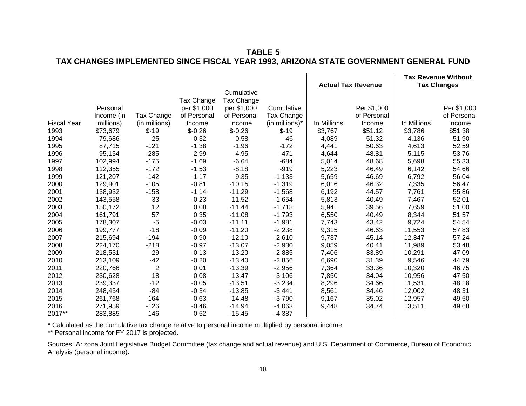## **TABLE 5 TAX CHANGES IMPLEMENTED SINCE FISCAL YEAR 1993, ARIZONA STATE GOVERNMENT GENERAL FUND**

|                    |            |                |             |             |                | <b>Actual Tax Revenue</b> |             | <b>Tax Revenue Without</b><br><b>Tax Changes</b> |             |  |
|--------------------|------------|----------------|-------------|-------------|----------------|---------------------------|-------------|--------------------------------------------------|-------------|--|
|                    |            |                |             | Cumulative  |                |                           |             |                                                  |             |  |
|                    |            |                | Tax Change  | Tax Change  |                |                           |             |                                                  |             |  |
|                    | Personal   |                | per \$1,000 | per \$1,000 | Cumulative     |                           | Per \$1,000 |                                                  | Per \$1,000 |  |
|                    | Income (in | Tax Change     | of Personal | of Personal | Tax Change     |                           | of Personal |                                                  | of Personal |  |
| <b>Fiscal Year</b> | millions)  | (in millions)  | Income      | Income      | (in millions)* | In Millions               | Income      | In Millions                                      | Income      |  |
| 1993               | \$73,679   | $$-19$         | $$-0.26$    | $$-0.26$    | $$-19$         | \$3,767                   | \$51.12     | \$3,786                                          | \$51.38     |  |
| 1994               | 79,686     | $-25$          | $-0.32$     | $-0.58$     | $-46$          | 4,089                     | 51.32       | 4,136                                            | 51.90       |  |
| 1995               | 87,715     | $-121$         | $-1.38$     | $-1.96$     | $-172$         | 4,441                     | 50.63       | 4,613                                            | 52.59       |  |
| 1996               | 95,154     | $-285$         | $-2.99$     | $-4.95$     | $-471$         | 4,644                     | 48.81       | 5,115                                            | 53.76       |  |
| 1997               | 102,994    | $-175$         | $-1.69$     | $-6.64$     | $-684$         | 5,014                     | 48.68       | 5,698                                            | 55.33       |  |
| 1998               | 112,355    | $-172$         | $-1.53$     | $-8.18$     | $-919$         | 5,223                     | 46.49       | 6,142                                            | 54.66       |  |
| 1999               | 121,207    | $-142$         | $-1.17$     | $-9.35$     | $-1,133$       | 5,659                     | 46.69       | 6,792                                            | 56.04       |  |
| 2000               | 129,901    | $-105$         | $-0.81$     | $-10.15$    | $-1,319$       | 6,016                     | 46.32       | 7,335                                            | 56.47       |  |
| 2001               | 138,932    | $-158$         | $-1.14$     | $-11.29$    | $-1,568$       | 6,192                     | 44.57       | 7,761                                            | 55.86       |  |
| 2002               | 143,558    | $-33$          | $-0.23$     | $-11.52$    | $-1,654$       | 5,813                     | 40.49       | 7,467                                            | 52.01       |  |
| 2003               | 150,172    | 12             | 0.08        | $-11.44$    | $-1,718$       | 5,941                     | 39.56       | 7,659                                            | 51.00       |  |
| 2004               | 161,791    | 57             | 0.35        | $-11.08$    | $-1,793$       | 6,550                     | 40.49       | 8,344                                            | 51.57       |  |
| 2005               | 178,307    | $-5$           | $-0.03$     | $-11.11$    | $-1,981$       | 7,743                     | 43.42       | 9,724                                            | 54.54       |  |
| 2006               | 199,777    | $-18$          | $-0.09$     | $-11.20$    | $-2,238$       | 9,315                     | 46.63       | 11,553                                           | 57.83       |  |
| 2007               | 215,694    | $-194$         | $-0.90$     | $-12.10$    | $-2,610$       | 9,737                     | 45.14       | 12,347                                           | 57.24       |  |
| 2008               | 224,170    | $-218$         | $-0.97$     | $-13.07$    | $-2,930$       | 9,059                     | 40.41       | 11,989                                           | 53.48       |  |
| 2009               | 218,531    | $-29$          | $-0.13$     | $-13.20$    | $-2,885$       | 7,406                     | 33.89       | 10,291                                           | 47.09       |  |
| 2010               | 213,109    | $-42$          | $-0.20$     | $-13.40$    | $-2,856$       | 6,690                     | 31.39       | 9,546                                            | 44.79       |  |
| 2011               | 220,766    | $\overline{2}$ | 0.01        | $-13.39$    | $-2,956$       | 7,364                     | 33.36       | 10,320                                           | 46.75       |  |
| 2012               | 230,628    | $-18$          | $-0.08$     | $-13.47$    | $-3,106$       | 7,850                     | 34.04       | 10,956                                           | 47.50       |  |
| 2013               | 239,337    | $-12$          | $-0.05$     | $-13.51$    | $-3,234$       | 8,296                     | 34.66       | 11,531                                           | 48.18       |  |
| 2014               | 248,454    | $-84$          | $-0.34$     | $-13.85$    | $-3,441$       | 8,561                     | 34.46       | 12,002                                           | 48.31       |  |
| 2015               | 261,768    | $-164$         | $-0.63$     | $-14.48$    | $-3,790$       | 9,167                     | 35.02       | 12,957                                           | 49.50       |  |
| 2016               | 271,959    | $-126$         | $-0.46$     | $-14.94$    | $-4,063$       | 9,448                     | 34.74       | 13,511                                           | 49.68       |  |
| 2017**             | 283,885    | $-146$         | $-0.52$     | $-15.45$    | $-4,387$       |                           |             |                                                  |             |  |

\* Calculated as the cumulative tax change relative to personal income multiplied by personal income.

\*\* Personal income for FY 2017 is projected.

Sources: Arizona Joint Legislative Budget Committee (tax change and actual revenue) and U.S. Department of Commerce, Bureau of Economic Analysis (personal income).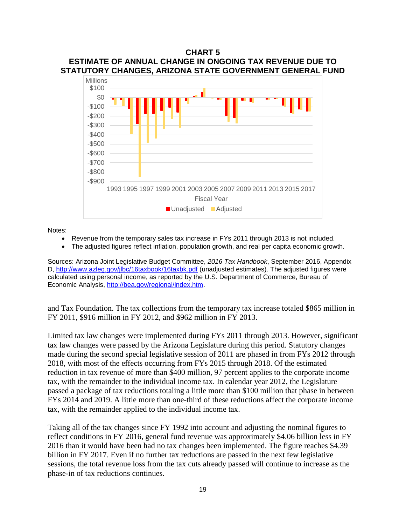#### **CHART 5 ESTIMATE OF ANNUAL CHANGE IN ONGOING TAX REVENUE DUE TO STATUTORY CHANGES, ARIZONA STATE GOVERNMENT GENERAL FUND**



Notes:

- Revenue from the temporary sales tax increase in FYs 2011 through 2013 is not included.
- The adjusted figures reflect inflation, population growth, and real per capita economic growth.

Sources: Arizona Joint Legislative Budget Committee, *2016 Tax Handbook*, September 2016, Appendix D,<http://www.azleg.gov/jlbc/16taxbook/16taxbk.pdf> (unadjusted estimates). The adjusted figures were calculated using personal income, as reported by the U.S. Department of Commerce, Bureau of Economic Analysis, [http://bea.gov/regional/index.htm.](http://bea.gov/regional/index.htm)

and Tax Foundation. The tax collections from the temporary tax increase totaled \$865 million in FY 2011, \$916 million in FY 2012, and \$962 million in FY 2013.

Limited tax law changes were implemented during FYs 2011 through 2013. However, significant tax law changes were passed by the Arizona Legislature during this period. Statutory changes made during the second special legislative session of 2011 are phased in from FYs 2012 through 2018, with most of the effects occurring from FYs 2015 through 2018. Of the estimated reduction in tax revenue of more than \$400 million, 97 percent applies to the corporate income tax, with the remainder to the individual income tax. In calendar year 2012, the Legislature passed a package of tax reductions totaling a little more than \$100 million that phase in between FYs 2014 and 2019. A little more than one-third of these reductions affect the corporate income tax, with the remainder applied to the individual income tax.

Taking all of the tax changes since FY 1992 into account and adjusting the nominal figures to reflect conditions in FY 2016, general fund revenue was approximately \$4.06 billion less in FY 2016 than it would have been had no tax changes been implemented. The figure reaches \$4.39 billion in FY 2017. Even if no further tax reductions are passed in the next few legislative sessions, the total revenue loss from the tax cuts already passed will continue to increase as the phase-in of tax reductions continues.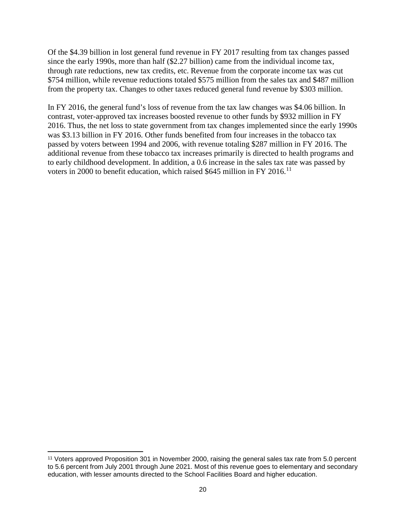Of the \$4.39 billion in lost general fund revenue in FY 2017 resulting from tax changes passed since the early 1990s, more than half (\$2.27 billion) came from the individual income tax, through rate reductions, new tax credits, etc. Revenue from the corporate income tax was cut \$754 million, while revenue reductions totaled \$575 million from the sales tax and \$487 million from the property tax. Changes to other taxes reduced general fund revenue by \$303 million.

In FY 2016, the general fund's loss of revenue from the tax law changes was \$4.06 billion. In contrast, voter-approved tax increases boosted revenue to other funds by \$932 million in FY 2016. Thus, the net loss to state government from tax changes implemented since the early 1990s was \$3.13 billion in FY 2016. Other funds benefited from four increases in the tobacco tax passed by voters between 1994 and 2006, with revenue totaling \$287 million in FY 2016. The additional revenue from these tobacco tax increases primarily is directed to health programs and to early childhood development. In addition, a 0.6 increase in the sales tax rate was passed by voters in 2000 to benefit education, which raised \$645 million in FY 2016.<sup>[11](#page-21-0)</sup>

 $\overline{\phantom{a}}$ 

<span id="page-21-0"></span><sup>11</sup> Voters approved Proposition 301 in November 2000, raising the general sales tax rate from 5.0 percent to 5.6 percent from July 2001 through June 2021. Most of this revenue goes to elementary and secondary education, with lesser amounts directed to the School Facilities Board and higher education.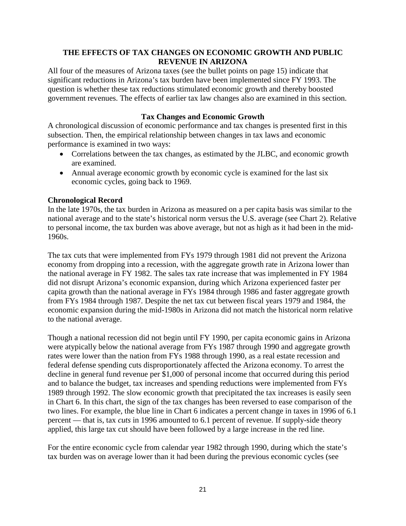## **THE EFFECTS OF TAX CHANGES ON ECONOMIC GROWTH AND PUBLIC REVENUE IN ARIZONA**

All four of the measures of Arizona taxes (see the bullet points on page 15) indicate that significant reductions in Arizona's tax burden have been implemented since FY 1993. The question is whether these tax reductions stimulated economic growth and thereby boosted government revenues. The effects of earlier tax law changes also are examined in this section.

## **Tax Changes and Economic Growth**

A chronological discussion of economic performance and tax changes is presented first in this subsection. Then, the empirical relationship between changes in tax laws and economic performance is examined in two ways:

- Correlations between the tax changes, as estimated by the JLBC, and economic growth are examined.
- Annual average economic growth by economic cycle is examined for the last six economic cycles, going back to 1969.

#### **Chronological Record**

In the late 1970s, the tax burden in Arizona as measured on a per capita basis was similar to the national average and to the state's historical norm versus the U.S. average (see Chart 2). Relative to personal income, the tax burden was above average, but not as high as it had been in the mid-1960s.

The tax cuts that were implemented from FYs 1979 through 1981 did not prevent the Arizona economy from dropping into a recession, with the aggregate growth rate in Arizona lower than the national average in FY 1982. The sales tax rate increase that was implemented in FY 1984 did not disrupt Arizona's economic expansion, during which Arizona experienced faster per capita growth than the national average in FYs 1984 through 1986 and faster aggregate growth from FYs 1984 through 1987. Despite the net tax cut between fiscal years 1979 and 1984, the economic expansion during the mid-1980s in Arizona did not match the historical norm relative to the national average.

Though a national recession did not begin until FY 1990, per capita economic gains in Arizona were atypically below the national average from FYs 1987 through 1990 and aggregate growth rates were lower than the nation from FYs 1988 through 1990, as a real estate recession and federal defense spending cuts disproportionately affected the Arizona economy. To arrest the decline in general fund revenue per \$1,000 of personal income that occurred during this period and to balance the budget, tax increases and spending reductions were implemented from FYs 1989 through 1992. The slow economic growth that precipitated the tax increases is easily seen in Chart 6. In this chart, the sign of the tax changes has been reversed to ease comparison of the two lines. For example, the blue line in Chart 6 indicates a percent change in taxes in 1996 of 6.1 percent — that is, tax *cuts* in 1996 amounted to 6.1 percent of revenue. If supply-side theory applied, this large tax cut should have been followed by a large increase in the red line.

For the entire economic cycle from calendar year 1982 through 1990, during which the state's tax burden was on average lower than it had been during the previous economic cycles (see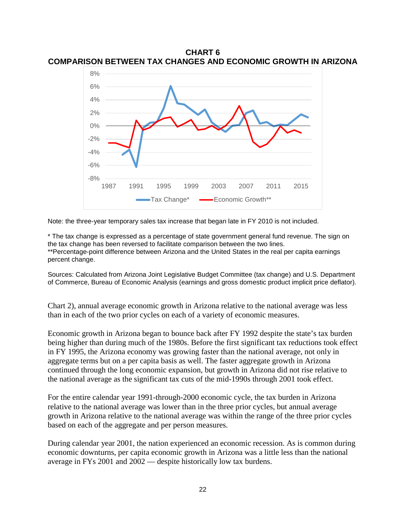**CHART 6 COMPARISON BETWEEN TAX CHANGES AND ECONOMIC GROWTH IN ARIZONA**



Note: the three-year temporary sales tax increase that began late in FY 2010 is not included.

\* The tax change is expressed as a percentage of state government general fund revenue. The sign on the tax change has been reversed to facilitate comparison between the two lines. \*\*Percentage-point difference between Arizona and the United States in the real per capita earnings percent change.

Sources: Calculated from Arizona Joint Legislative Budget Committee (tax change) and U.S. Department of Commerce, Bureau of Economic Analysis (earnings and gross domestic product implicit price deflator).

Chart 2), annual average economic growth in Arizona relative to the national average was less than in each of the two prior cycles on each of a variety of economic measures.

Economic growth in Arizona began to bounce back after FY 1992 despite the state's tax burden being higher than during much of the 1980s. Before the first significant tax reductions took effect in FY 1995, the Arizona economy was growing faster than the national average, not only in aggregate terms but on a per capita basis as well. The faster aggregate growth in Arizona continued through the long economic expansion, but growth in Arizona did not rise relative to the national average as the significant tax cuts of the mid-1990s through 2001 took effect.

For the entire calendar year 1991-through-2000 economic cycle, the tax burden in Arizona relative to the national average was lower than in the three prior cycles, but annual average growth in Arizona relative to the national average was within the range of the three prior cycles based on each of the aggregate and per person measures.

During calendar year 2001, the nation experienced an economic recession. As is common during economic downturns, per capita economic growth in Arizona was a little less than the national average in FYs 2001 and 2002 — despite historically low tax burdens.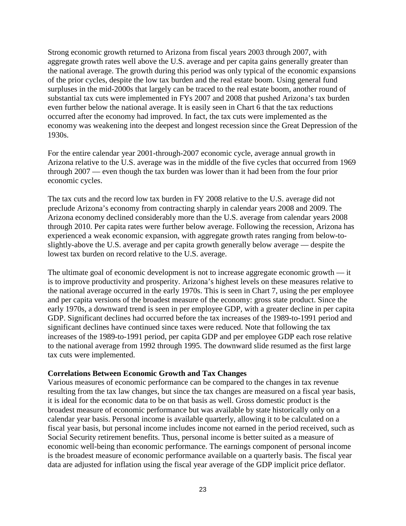Strong economic growth returned to Arizona from fiscal years 2003 through 2007, with aggregate growth rates well above the U.S. average and per capita gains generally greater than the national average. The growth during this period was only typical of the economic expansions of the prior cycles, despite the low tax burden and the real estate boom. Using general fund surpluses in the mid-2000s that largely can be traced to the real estate boom, another round of substantial tax cuts were implemented in FYs 2007 and 2008 that pushed Arizona's tax burden even further below the national average. It is easily seen in Chart 6 that the tax reductions occurred after the economy had improved. In fact, the tax cuts were implemented as the economy was weakening into the deepest and longest recession since the Great Depression of the 1930s.

For the entire calendar year 2001-through-2007 economic cycle, average annual growth in Arizona relative to the U.S. average was in the middle of the five cycles that occurred from 1969 through 2007 — even though the tax burden was lower than it had been from the four prior economic cycles.

The tax cuts and the record low tax burden in FY 2008 relative to the U.S. average did not preclude Arizona's economy from contracting sharply in calendar years 2008 and 2009. The Arizona economy declined considerably more than the U.S. average from calendar years 2008 through 2010. Per capita rates were further below average. Following the recession, Arizona has experienced a weak economic expansion, with aggregate growth rates ranging from below-toslightly-above the U.S. average and per capita growth generally below average — despite the lowest tax burden on record relative to the U.S. average.

The ultimate goal of economic development is not to increase aggregate economic growth — it is to improve productivity and prosperity. Arizona's highest levels on these measures relative to the national average occurred in the early 1970s. This is seen in Chart 7, using the per employee and per capita versions of the broadest measure of the economy: gross state product. Since the early 1970s, a downward trend is seen in per employee GDP, with a greater decline in per capita GDP. Significant declines had occurred before the tax increases of the 1989-to-1991 period and significant declines have continued since taxes were reduced. Note that following the tax increases of the 1989-to-1991 period, per capita GDP and per employee GDP each rose relative to the national average from 1992 through 1995. The downward slide resumed as the first large tax cuts were implemented.

#### **Correlations Between Economic Growth and Tax Changes**

Various measures of economic performance can be compared to the changes in tax revenue resulting from the tax law changes, but since the tax changes are measured on a fiscal year basis, it is ideal for the economic data to be on that basis as well. Gross domestic product is the broadest measure of economic performance but was available by state historically only on a calendar year basis. Personal income is available quarterly, allowing it to be calculated on a fiscal year basis, but personal income includes income not earned in the period received, such as Social Security retirement benefits. Thus, personal income is better suited as a measure of economic well-being than economic performance. The earnings component of personal income is the broadest measure of economic performance available on a quarterly basis. The fiscal year data are adjusted for inflation using the fiscal year average of the GDP implicit price deflator.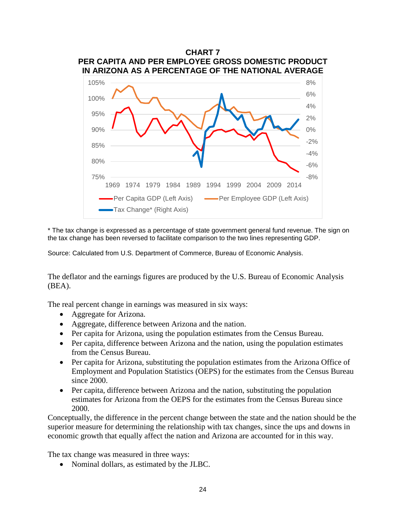

\* The tax change is expressed as a percentage of state government general fund revenue. The sign on the tax change has been reversed to facilitate comparison to the two lines representing GDP.

Source: Calculated from U.S. Department of Commerce, Bureau of Economic Analysis.

The deflator and the earnings figures are produced by the U.S. Bureau of Economic Analysis (BEA).

The real percent change in earnings was measured in six ways:

- Aggregate for Arizona.
- Aggregate, difference between Arizona and the nation.
- Per capita for Arizona, using the population estimates from the Census Bureau.
- Per capita, difference between Arizona and the nation, using the population estimates from the Census Bureau.
- Per capita for Arizona, substituting the population estimates from the Arizona Office of Employment and Population Statistics (OEPS) for the estimates from the Census Bureau since 2000.
- Per capita, difference between Arizona and the nation, substituting the population estimates for Arizona from the OEPS for the estimates from the Census Bureau since 2000.

Conceptually, the difference in the percent change between the state and the nation should be the superior measure for determining the relationship with tax changes, since the ups and downs in economic growth that equally affect the nation and Arizona are accounted for in this way.

The tax change was measured in three ways:

• Nominal dollars, as estimated by the JLBC.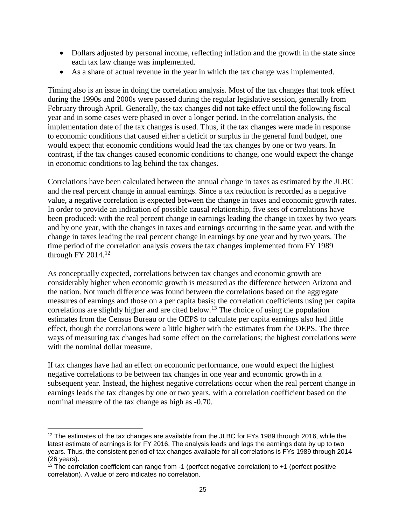- Dollars adjusted by personal income, reflecting inflation and the growth in the state since each tax law change was implemented.
- As a share of actual revenue in the year in which the tax change was implemented.

Timing also is an issue in doing the correlation analysis. Most of the tax changes that took effect during the 1990s and 2000s were passed during the regular legislative session, generally from February through April. Generally, the tax changes did not take effect until the following fiscal year and in some cases were phased in over a longer period. In the correlation analysis, the implementation date of the tax changes is used. Thus, if the tax changes were made in response to economic conditions that caused either a deficit or surplus in the general fund budget, one would expect that economic conditions would lead the tax changes by one or two years. In contrast, if the tax changes caused economic conditions to change, one would expect the change in economic conditions to lag behind the tax changes.

Correlations have been calculated between the annual change in taxes as estimated by the JLBC and the real percent change in annual earnings. Since a tax reduction is recorded as a negative value, a negative correlation is expected between the change in taxes and economic growth rates. In order to provide an indication of possible causal relationship, five sets of correlations have been produced: with the real percent change in earnings leading the change in taxes by two years and by one year, with the changes in taxes and earnings occurring in the same year, and with the change in taxes leading the real percent change in earnings by one year and by two years. The time period of the correlation analysis covers the tax changes implemented from FY 1989 through FY 2014. [12](#page-26-0)

As conceptually expected, correlations between tax changes and economic growth are considerably higher when economic growth is measured as the difference between Arizona and the nation. Not much difference was found between the correlations based on the aggregate measures of earnings and those on a per capita basis; the correlation coefficients using per capita correlations are slightly higher and are cited below.<sup>[13](#page-26-1)</sup> The choice of using the population estimates from the Census Bureau or the OEPS to calculate per capita earnings also had little effect, though the correlations were a little higher with the estimates from the OEPS. The three ways of measuring tax changes had some effect on the correlations; the highest correlations were with the nominal dollar measure.

If tax changes have had an effect on economic performance, one would expect the highest negative correlations to be between tax changes in one year and economic growth in a subsequent year. Instead, the highest negative correlations occur when the real percent change in earnings leads the tax changes by one or two years, with a correlation coefficient based on the nominal measure of the tax change as high as -0.70.

 $\overline{\phantom{a}}$ 

<span id="page-26-0"></span><sup>&</sup>lt;sup>12</sup> The estimates of the tax changes are available from the JLBC for FYs 1989 through 2016, while the latest estimate of earnings is for FY 2016. The analysis leads and lags the earnings data by up to two years. Thus, the consistent period of tax changes available for all correlations is FYs 1989 through 2014 (26 years).

<span id="page-26-1"></span><sup>&</sup>lt;sup>13</sup> The correlation coefficient can range from -1 (perfect negative correlation) to +1 (perfect positive correlation). A value of zero indicates no correlation.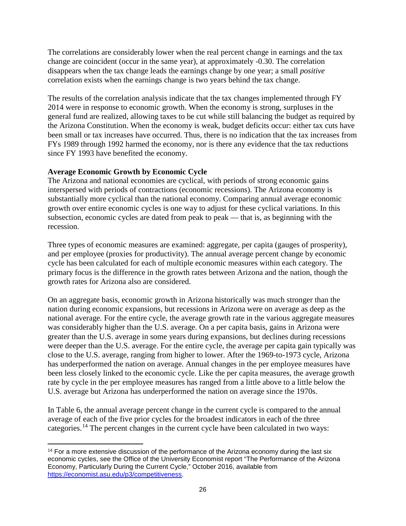The correlations are considerably lower when the real percent change in earnings and the tax change are coincident (occur in the same year), at approximately -0.30. The correlation disappears when the tax change leads the earnings change by one year; a small *positive* correlation exists when the earnings change is two years behind the tax change.

The results of the correlation analysis indicate that the tax changes implemented through FY 2014 were in response to economic growth. When the economy is strong, surpluses in the general fund are realized, allowing taxes to be cut while still balancing the budget as required by the Arizona Constitution. When the economy is weak, budget deficits occur: either tax cuts have been small or tax increases have occurred. Thus, there is no indication that the tax increases from FYs 1989 through 1992 harmed the economy, nor is there any evidence that the tax reductions since FY 1993 have benefited the economy.

## **Average Economic Growth by Economic Cycle**

The Arizona and national economies are cyclical, with periods of strong economic gains interspersed with periods of contractions (economic recessions). The Arizona economy is substantially more cyclical than the national economy. Comparing annual average economic growth over entire economic cycles is one way to adjust for these cyclical variations. In this subsection, economic cycles are dated from peak to peak — that is, as beginning with the recession.

Three types of economic measures are examined: aggregate, per capita (gauges of prosperity), and per employee (proxies for productivity). The annual average percent change by economic cycle has been calculated for each of multiple economic measures within each category. The primary focus is the difference in the growth rates between Arizona and the nation, though the growth rates for Arizona also are considered.

On an aggregate basis, economic growth in Arizona historically was much stronger than the nation during economic expansions, but recessions in Arizona were on average as deep as the national average. For the entire cycle, the average growth rate in the various aggregate measures was considerably higher than the U.S. average. On a per capita basis, gains in Arizona were greater than the U.S. average in some years during expansions, but declines during recessions were deeper than the U.S. average. For the entire cycle, the average per capita gain typically was close to the U.S. average, ranging from higher to lower. After the 1969-to-1973 cycle, Arizona has underperformed the nation on average. Annual changes in the per employee measures have been less closely linked to the economic cycle. Like the per capita measures, the average growth rate by cycle in the per employee measures has ranged from a little above to a little below the U.S. average but Arizona has underperformed the nation on average since the 1970s.

In Table 6, the annual average percent change in the current cycle is compared to the annual average of each of the five prior cycles for the broadest indicators in each of the three categories.<sup>[14](#page-27-0)</sup> The percent changes in the current cycle have been calculated in two ways:

<span id="page-27-0"></span>l <sup>14</sup> For a more extensive discussion of the performance of the Arizona economy during the last six economic cycles, see the Office of the University Economist report "The Performance of the Arizona Economy, Particularly During the Current Cycle," October 2016, available from [https://economist.asu.edu/p3/competitiveness.](https://economist.asu.edu/p3/competitiveness)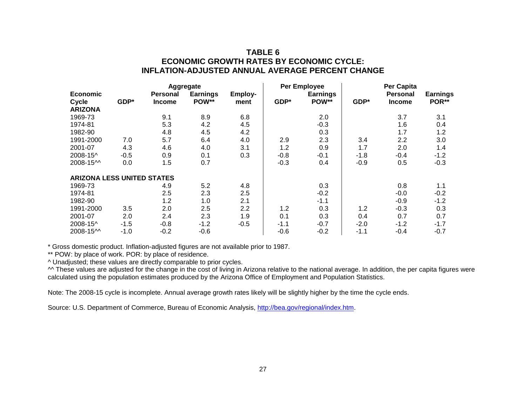## **TABLE 6 ECONOMIC GROWTH RATES BY ECONOMIC CYCLE: INFLATION-ADJUSTED ANNUAL AVERAGE PERCENT CHANGE**

| <b>Aggregate</b>                  |        |                 |                 | <b>Per Employee</b> |        | Per Capita      |        |                 |                 |
|-----------------------------------|--------|-----------------|-----------------|---------------------|--------|-----------------|--------|-----------------|-----------------|
| <b>Economic</b>                   |        | <b>Personal</b> | <b>Earnings</b> | Employ-             |        | <b>Earnings</b> |        | <b>Personal</b> | <b>Earnings</b> |
| Cycle                             | GDP*   | <b>Income</b>   | POW**           | ment                | GDP*   | POW**           | GDP*   | <b>Income</b>   | POR**           |
| <b>ARIZONA</b>                    |        |                 |                 |                     |        |                 |        |                 |                 |
| 1969-73                           |        | 9.1             | 8.9             | 6.8                 |        | 2.0             |        | 3.7             | 3.1             |
| 1974-81                           |        | 5.3             | 4.2             | 4.5                 |        | $-0.3$          |        | 1.6             | 0.4             |
| 1982-90                           |        | 4.8             | 4.5             | 4.2                 |        | 0.3             |        | 1.7             | 1.2             |
| 1991-2000                         | 7.0    | 5.7             | 6.4             | 4.0                 | 2.9    | 2.3             | 3.4    | 2.2             | 3.0             |
| 2001-07                           | 4.3    | 4.6             | 4.0             | 3.1                 | 1.2    | 0.9             | 1.7    | 2.0             | 1.4             |
| 2008-15^                          | $-0.5$ | 0.9             | 0.1             | 0.3                 | $-0.8$ | $-0.1$          | $-1.8$ | $-0.4$          | $-1.2$          |
| 2008-15^^                         | 0.0    | 1.5             | 0.7             |                     | $-0.3$ | 0.4             | $-0.9$ | 0.5             | $-0.3$          |
| <b>ARIZONA LESS UNITED STATES</b> |        |                 |                 |                     |        |                 |        |                 |                 |
| 1969-73                           |        | 4.9             | 5.2             | 4.8                 |        | 0.3             |        | 0.8             | 1.1             |
| 1974-81                           |        | 2.5             | 2.3             | 2.5                 |        | $-0.2$          |        | $-0.0$          | $-0.2$          |
| 1982-90                           |        | 1.2             | 1.0             | 2.1                 |        | $-1.1$          |        | $-0.9$          | $-1.2$          |
| 1991-2000                         | 3.5    | 2.0             | 2.5             | 2.2                 | 1.2    | 0.3             | 1.2    | $-0.3$          | 0.3             |
| 2001-07                           | 2.0    | 2.4             | 2.3             | 1.9                 | 0.1    | 0.3             | 0.4    | 0.7             | 0.7             |
| 2008-15^                          | $-1.5$ | $-0.8$          | $-1.2$          | $-0.5$              | $-1.1$ | $-0.7$          | $-2.0$ | $-1.2$          | $-1.7$          |
| 2008-15^^                         | $-1.0$ | $-0.2$          | $-0.6$          |                     | $-0.6$ | $-0.2$          | $-1.1$ | $-0.4$          | $-0.7$          |

\* Gross domestic product. Inflation-adjusted figures are not available prior to 1987.

\*\* POW: by place of work. POR: by place of residence.

^ Unadjusted; these values are directly comparable to prior cycles.

^^ These values are adjusted for the change in the cost of living in Arizona relative to the national average. In addition, the per capita figures were calculated using the population estimates produced by the Arizona Office of Employment and Population Statistics.

Note: The 2008-15 cycle is incomplete. Annual average growth rates likely will be slightly higher by the time the cycle ends.

Source: U.S. Department of Commerce, Bureau of Economic Analysis, [http://bea.gov/regional/index.htm.](http://bea.gov/regional/index.htm)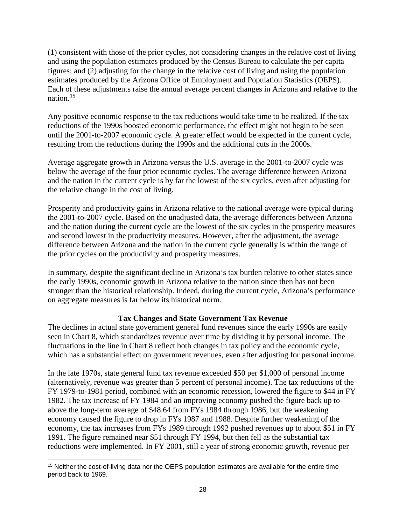(1) consistent with those of the prior cycles, not considering changes in the relative cost of living and using the population estimates produced by the Census Bureau to calculate the per capita figures; and (2) adjusting for the change in the relative cost of living and using the population estimates produced by the Arizona Office of Employment and Population Statistics (OEPS). Each of these adjustments raise the annual average percent changes in Arizona and relative to the nation.[15](#page-29-0)

Any positive economic response to the tax reductions would take time to be realized. If the tax reductions of the 1990s boosted economic performance, the effect might not begin to be seen until the 2001-to-2007 economic cycle. A greater effect would be expected in the current cycle, resulting from the reductions during the 1990s and the additional cuts in the 2000s.

Average aggregate growth in Arizona versus the U.S. average in the 2001-to-2007 cycle was below the average of the four prior economic cycles. The average difference between Arizona and the nation in the current cycle is by far the lowest of the six cycles, even after adjusting for the relative change in the cost of living.

Prosperity and productivity gains in Arizona relative to the national average were typical during the 2001-to-2007 cycle. Based on the unadjusted data, the average differences between Arizona and the nation during the current cycle are the lowest of the six cycles in the prosperity measures and second lowest in the productivity measures. However, after the adjustment, the average difference between Arizona and the nation in the current cycle generally is within the range of the prior cycles on the productivity and prosperity measures.

In summary, despite the significant decline in Arizona's tax burden relative to other states since the early 1990s, economic growth in Arizona relative to the nation since then has not been stronger than the historical relationship. Indeed, during the current cycle, Arizona's performance on aggregate measures is far below its historical norm.

## **Tax Changes and State Government Tax Revenue**

The declines in actual state government general fund revenues since the early 1990s are easily seen in Chart 8, which standardizes revenue over time by dividing it by personal income. The fluctuations in the line in Chart 8 reflect both changes in tax policy and the economic cycle, which has a substantial effect on government revenues, even after adjusting for personal income.

In the late 1970s, state general fund tax revenue exceeded \$50 per \$1,000 of personal income (alternatively, revenue was greater than 5 percent of personal income). The tax reductions of the FY 1979-to-1981 period, combined with an economic recession, lowered the figure to \$44 in FY 1982. The tax increase of FY 1984 and an improving economy pushed the figure back up to above the long-term average of \$48.64 from FYs 1984 through 1986, but the weakening economy caused the figure to drop in FYs 1987 and 1988. Despite further weakening of the economy, the tax increases from FYs 1989 through 1992 pushed revenues up to about \$51 in FY 1991. The figure remained near \$51 through FY 1994, but then fell as the substantial tax reductions were implemented. In FY 2001, still a year of strong economic growth, revenue per

l

<span id="page-29-0"></span><sup>&</sup>lt;sup>15</sup> Neither the cost-of-living data nor the OEPS population estimates are available for the entire time period back to 1969.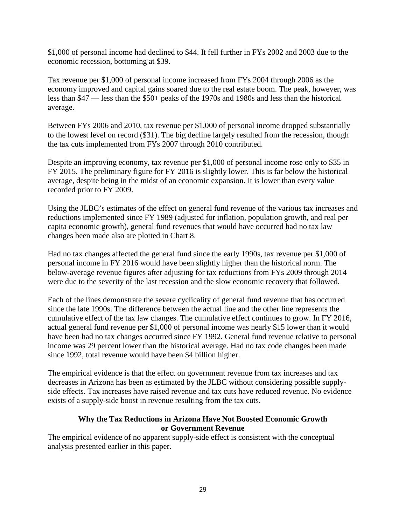\$1,000 of personal income had declined to \$44. It fell further in FYs 2002 and 2003 due to the economic recession, bottoming at \$39.

Tax revenue per \$1,000 of personal income increased from FYs 2004 through 2006 as the economy improved and capital gains soared due to the real estate boom. The peak, however, was less than \$47 — less than the \$50+ peaks of the 1970s and 1980s and less than the historical average.

Between FYs 2006 and 2010, tax revenue per \$1,000 of personal income dropped substantially to the lowest level on record (\$31). The big decline largely resulted from the recession, though the tax cuts implemented from FYs 2007 through 2010 contributed.

Despite an improving economy, tax revenue per \$1,000 of personal income rose only to \$35 in FY 2015. The preliminary figure for FY 2016 is slightly lower. This is far below the historical average, despite being in the midst of an economic expansion. It is lower than every value recorded prior to FY 2009.

Using the JLBC's estimates of the effect on general fund revenue of the various tax increases and reductions implemented since FY 1989 (adjusted for inflation, population growth, and real per capita economic growth), general fund revenues that would have occurred had no tax law changes been made also are plotted in Chart 8.

Had no tax changes affected the general fund since the early 1990s, tax revenue per \$1,000 of personal income in FY 2016 would have been slightly higher than the historical norm. The below-average revenue figures after adjusting for tax reductions from FYs 2009 through 2014 were due to the severity of the last recession and the slow economic recovery that followed.

Each of the lines demonstrate the severe cyclicality of general fund revenue that has occurred since the late 1990s. The difference between the actual line and the other line represents the cumulative effect of the tax law changes. The cumulative effect continues to grow. In FY 2016, actual general fund revenue per \$1,000 of personal income was nearly \$15 lower than it would have been had no tax changes occurred since FY 1992. General fund revenue relative to personal income was 29 percent lower than the historical average. Had no tax code changes been made since 1992, total revenue would have been \$4 billion higher.

The empirical evidence is that the effect on government revenue from tax increases and tax decreases in Arizona has been as estimated by the JLBC without considering possible supplyside effects. Tax increases have raised revenue and tax cuts have reduced revenue. No evidence exists of a supply-side boost in revenue resulting from the tax cuts.

#### **Why the Tax Reductions in Arizona Have Not Boosted Economic Growth or Government Revenue**

The empirical evidence of no apparent supply-side effect is consistent with the conceptual analysis presented earlier in this paper.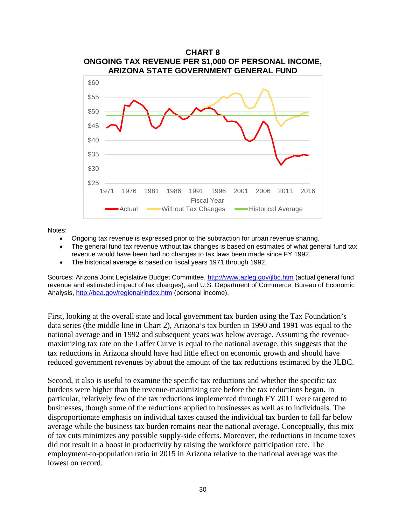

Notes:

- Ongoing tax revenue is expressed prior to the subtraction for urban revenue sharing.
- The general fund tax revenue without tax changes is based on estimates of what general fund tax revenue would have been had no changes to tax laws been made since FY 1992.
- The historical average is based on fiscal years 1971 through 1992.

Sources: Arizona Joint Legislative Budget Committee,<http://www.azleg.gov/jlbc.htm> (actual general fund revenue and estimated impact of tax changes), and U.S. Department of Commerce, Bureau of Economic Analysis,<http://bea.gov/regional/index.htm> (personal income).

First, looking at the overall state and local government tax burden using the Tax Foundation's data series (the middle line in Chart 2), Arizona's tax burden in 1990 and 1991 was equal to the national average and in 1992 and subsequent years was below average. Assuming the revenuemaximizing tax rate on the Laffer Curve is equal to the national average, this suggests that the tax reductions in Arizona should have had little effect on economic growth and should have reduced government revenues by about the amount of the tax reductions estimated by the JLBC.

Second, it also is useful to examine the specific tax reductions and whether the specific tax burdens were higher than the revenue-maximizing rate before the tax reductions began. In particular, relatively few of the tax reductions implemented through FY 2011 were targeted to businesses, though some of the reductions applied to businesses as well as to individuals. The disproportionate emphasis on individual taxes caused the individual tax burden to fall far below average while the business tax burden remains near the national average. Conceptually, this mix of tax cuts minimizes any possible supply-side effects. Moreover, the reductions in income taxes did not result in a boost in productivity by raising the workforce participation rate. The employment-to-population ratio in 2015 in Arizona relative to the national average was the lowest on record.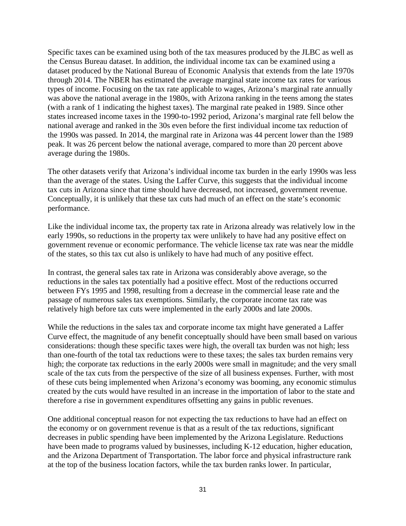Specific taxes can be examined using both of the tax measures produced by the JLBC as well as the Census Bureau dataset. In addition, the individual income tax can be examined using a dataset produced by the National Bureau of Economic Analysis that extends from the late 1970s through 2014. The NBER has estimated the average marginal state income tax rates for various types of income. Focusing on the tax rate applicable to wages, Arizona's marginal rate annually was above the national average in the 1980s, with Arizona ranking in the teens among the states (with a rank of 1 indicating the highest taxes). The marginal rate peaked in 1989. Since other states increased income taxes in the 1990-to-1992 period, Arizona's marginal rate fell below the national average and ranked in the 30s even before the first individual income tax reduction of the 1990s was passed. In 2014, the marginal rate in Arizona was 44 percent lower than the 1989 peak. It was 26 percent below the national average, compared to more than 20 percent above average during the 1980s.

The other datasets verify that Arizona's individual income tax burden in the early 1990s was less than the average of the states. Using the Laffer Curve, this suggests that the individual income tax cuts in Arizona since that time should have decreased, not increased, government revenue. Conceptually, it is unlikely that these tax cuts had much of an effect on the state's economic performance.

Like the individual income tax, the property tax rate in Arizona already was relatively low in the early 1990s, so reductions in the property tax were unlikely to have had any positive effect on government revenue or economic performance. The vehicle license tax rate was near the middle of the states, so this tax cut also is unlikely to have had much of any positive effect.

In contrast, the general sales tax rate in Arizona was considerably above average, so the reductions in the sales tax potentially had a positive effect. Most of the reductions occurred between FYs 1995 and 1998, resulting from a decrease in the commercial lease rate and the passage of numerous sales tax exemptions. Similarly, the corporate income tax rate was relatively high before tax cuts were implemented in the early 2000s and late 2000s.

While the reductions in the sales tax and corporate income tax might have generated a Laffer Curve effect, the magnitude of any benefit conceptually should have been small based on various considerations: though these specific taxes were high, the overall tax burden was not high; less than one-fourth of the total tax reductions were to these taxes; the sales tax burden remains very high; the corporate tax reductions in the early 2000s were small in magnitude; and the very small scale of the tax cuts from the perspective of the size of all business expenses. Further, with most of these cuts being implemented when Arizona's economy was booming, any economic stimulus created by the cuts would have resulted in an increase in the importation of labor to the state and therefore a rise in government expenditures offsetting any gains in public revenues.

One additional conceptual reason for not expecting the tax reductions to have had an effect on the economy or on government revenue is that as a result of the tax reductions, significant decreases in public spending have been implemented by the Arizona Legislature. Reductions have been made to programs valued by businesses, including K-12 education, higher education, and the Arizona Department of Transportation. The labor force and physical infrastructure rank at the top of the business location factors, while the tax burden ranks lower. In particular,